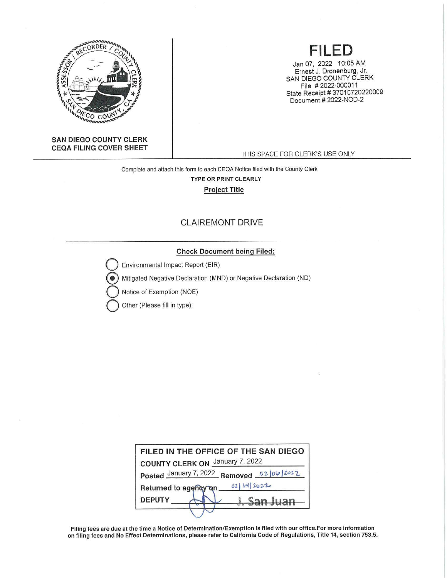

#### SAN DIEGO **COUNTY CLERK CEQA FILING COVER** SHEET

# **FILED**

Jan 07, 2022 10:05 AM Ernest J. Dronenburg, Jr. SAN DIEGO COUNTY CLERK File # 2022-000011 State Receipt # 37010720220009 Document # 2022-NOD-2

THIS SPACE FOR CLERK'S USE ONLY

Complete and attach this form to each CEQA Notice filed with the County Clerk TYPE OR PRINT CLEARLY Project Title

## CLAIREMONT DRIVE

## **Check Document being Filed:**

Environmental Impact Report (EIR)

{!) Mitigated Negative Declaration (MND) or Negative Declaration (ND)

**Notice of Exemption (NOE)** 

**Other (Please fill in type):** 

| FILED IN THE OFFICE OF THE SAN DIEGO      |
|-------------------------------------------|
| <b>COUNTY CLERK ON January 7, 2022</b>    |
| Posted January 7, 2022 Removed 02/06/2022 |
| 0211412022<br>Returned to agency on       |
| <b>DEPUTY</b><br>$Can l inn$              |
|                                           |

Filing fees are due at the time a Notice of Determination/Exemption is filed with our office.For more information on filing fees and No Effect Determinations, please refer to California Code of Regulations, Title 14, section 753.5.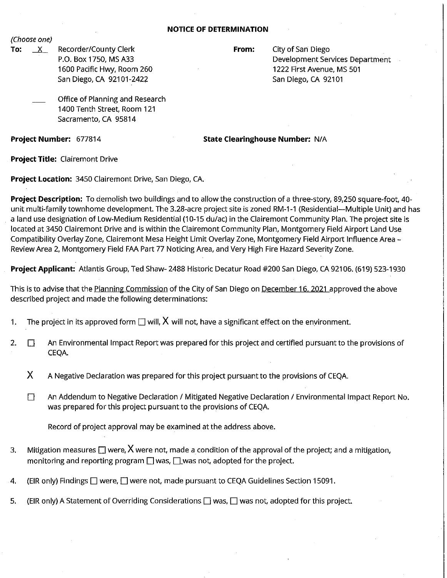#### **NOTICE OF DETERMINATION**

(Choose one)

**To:** X Recorder/County Clerk P.O. Box 1750, MS A33 1600 Pacific Hwy, Room 260 San Diego, CA 92101-2422

**From:** City of San Diego Development Services Department 1222 First Avenue, MS 501 San Diego, CA 92101

Office of Planning and Research 1400 Tenth Street, Room 121 Sacramento, CA 95814

**Project Number:** 677814

**State Clearinghouse Number:** N/A

**Project Title:** Clairemont Drive

**Project Location:** 3450 Clairemont Drive, San Diego, CA.

**Project Description:** To demolish two buildings and to allow the construction of a three-story, 89,250 square-foot, 40 unit multi-family townhome development. The 3.28-acre project site is zoned RM-1-1 (Residential--Multiple Unit) and has a land use designation of Low-Medium Residential (10-15 du/ac) in the Clairemont Community Plan. The project site is located at 3450 Clairemont Drive and is within the Clairemont Community Plan, Montgomery Field Airport Land Use Compatibility Overlay Zone, Clairemont Mesa Height Limit Overlay Zone, Montgomery Field Airport Influence Area - Review Area 2, Montgomery Field FAA Part 77 Noticing Area, and Very High Fire Hazard Severity Zone.

**Project Applicant:** Atlantis Group, Ted Shaw- 2488 Historic Decatur Road #200 San Diego, CA 92106. (619) 523-1930

This is to advise that the Planning Commission of the City of San Diego on December 16, 2021 approved the above described project and made the following determinations:

- 1. The project in its approved form  $\Box$  will,  $X$  will not, have a significant effect on the environment.
- 2.  $\Box$  An Environmental Impact Report was prepared for this project and certified pursuant to the provisions of CEQA.
	- **X** A Negative Declaration was prepared for this project pursuant to the provisions of CEQA.
	- $\square$  An Addendum to Negative Declaration / Mitigated Negative Declaration / Environmental Impact Report No. was prepared for this project pursuant to the provisions of CEQA.

Record of project approval may be examined at the address above.

- 3. Mitigation measures  $\square$  were, X were not, made a condition of the approval of the project; and a mitigation, monitoring and reporting program  $\Box$  was,  $\Box$  was not, adopted for the project.
- 4. (EIR only) Findings  $\square$  were,  $\square$  were not, made pursuant to CEQA Guidelines Section 15091.
- 5. (EIR only) A Statement of Overriding Considerations  $\Box$  was,  $\Box$  was not, adopted for this project.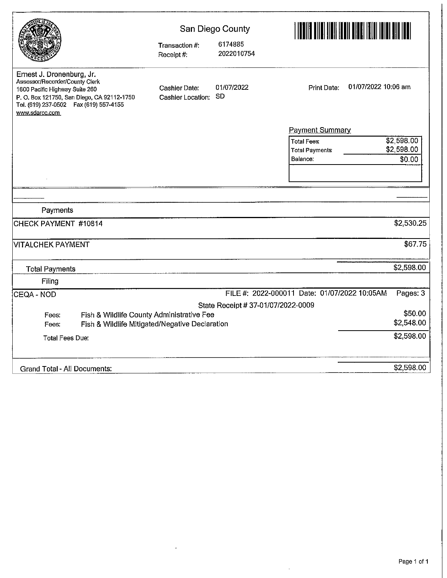|                                                                                                                                                                                                          | Transaction #:<br>Receipt #.       | San Diego County<br>6174885<br>2022010754 | <u>TITELIÄ TIIDI JULIA LIIDI JULIA LAIKEEN KOKKA ASIA KUULI JULIA LAIKEEN KOKKA ASIA KOKKA ASIA KUULI JULIA LAIK</u> |         |  |
|----------------------------------------------------------------------------------------------------------------------------------------------------------------------------------------------------------|------------------------------------|-------------------------------------------|----------------------------------------------------------------------------------------------------------------------|---------|--|
| Ernest J. Dronenburg, Jr.<br>Assessor/Recorder/County Clerk<br>1600 Pacific Highway Suite 260<br>P. O. Box 121750, San Diego, CA 92112-1750<br>Tel. (619) 237-0502  Fax (619) 557-4155<br>www.sdarcc.com | Cashier Date:<br>Cashier Location: | 01/07/2022<br><b>SD</b>                   | 01/07/2022 10:06 am<br>Print Date:                                                                                   |         |  |
|                                                                                                                                                                                                          |                                    |                                           | <b>Payment Summary</b>                                                                                               |         |  |
|                                                                                                                                                                                                          |                                    |                                           | \$2,598.00<br><b>Total Fees:</b><br>\$2,598.00<br><b>Total Payments</b><br>\$0.00<br>Balance:                        |         |  |
|                                                                                                                                                                                                          |                                    |                                           |                                                                                                                      |         |  |
|                                                                                                                                                                                                          |                                    |                                           |                                                                                                                      |         |  |
|                                                                                                                                                                                                          |                                    |                                           |                                                                                                                      |         |  |
| Payments                                                                                                                                                                                                 |                                    |                                           |                                                                                                                      |         |  |
| CHECK PAYMENT #10814                                                                                                                                                                                     |                                    |                                           | \$2,530.25                                                                                                           |         |  |
| VITALCHEK PAYMENT                                                                                                                                                                                        |                                    |                                           |                                                                                                                      | \$67.75 |  |
| <b>Total Payments</b>                                                                                                                                                                                    |                                    |                                           | \$2,598.00                                                                                                           |         |  |
| Filing                                                                                                                                                                                                   |                                    |                                           |                                                                                                                      |         |  |
| ¦CEQA - NOD                                                                                                                                                                                              |                                    |                                           | FILE #: 2022-000011 Date: 01/07/2022 10:05AM<br>Pages: 3                                                             |         |  |
|                                                                                                                                                                                                          |                                    | State Receipt # 37-01/07/2022-0009        |                                                                                                                      |         |  |
| Fish & Wildlife County Administrative Fee<br>Fees:                                                                                                                                                       |                                    |                                           |                                                                                                                      | \$50.00 |  |
| Fish & Wildlife Mitigated/Negative Declaration<br>Fees:                                                                                                                                                  |                                    |                                           | \$2,548.00                                                                                                           |         |  |
| <b>Total Fees Due:</b>                                                                                                                                                                                   |                                    |                                           | \$2,598.00                                                                                                           |         |  |
| Grand Total - All Documents:                                                                                                                                                                             |                                    |                                           | \$2,598.00                                                                                                           |         |  |

 $\sim 10^{-11}$ 

 $\bar{z}$